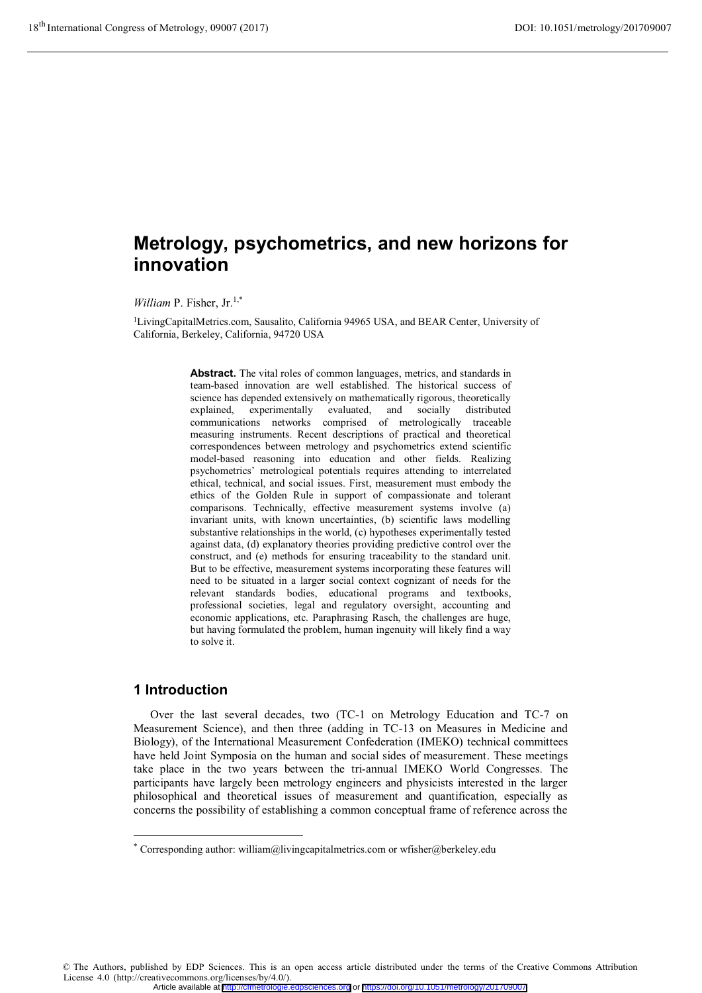# **Metrology, psychometrics, and new horizons for innovation**

*William* P. Fisher, Jr.1,\*

<sup>1</sup>LivingCapitalMetrics.com, Sausalito, California 94965 USA, and BEAR Center, University of California, Berkeley, California, 94720 USA

> **Abstract.** The vital roles of common languages, metrics, and standards in team-based innovation are well established. The historical success of science has depended extensively on mathematically rigorous, theoretically explained, experimentally evaluated, and socially distributed communications networks comprised of metrologically traceable measuring instruments. Recent descriptions of practical and theoretical correspondences between metrology and psychometrics extend scientific model-based reasoning into education and other fields. Realizing psychometrics' metrological potentials requires attending to interrelated ethical, technical, and social issues. First, measurement must embody the ethics of the Golden Rule in support of compassionate and tolerant comparisons. Technically, effective measurement systems involve (a) invariant units, with known uncertainties, (b) scientific laws modelling substantive relationships in the world, (c) hypotheses experimentally tested against data, (d) explanatory theories providing predictive control over the construct, and (e) methods for ensuring traceability to the standard unit. But to be effective, measurement systems incorporating these features will need to be situated in a larger social context cognizant of needs for the relevant standards bodies, educational programs and textbooks, professional societies, legal and regulatory oversight, accounting and economic applications, etc. Paraphrasing Rasch, the challenges are huge, but having formulated the problem, human ingenuity will likely find a way to solve it.

# **1 Introduction**

-

Over the last several decades, two (TC-1 on Metrology Education and TC-7 on Measurement Science), and then three (adding in TC-13 on Measures in Medicine and Biology), of the International Measurement Confederation (IMEKO) technical committees have held Joint Symposia on the human and social sides of measurement. These meetings take place in the two years between the tri-annual IMEKO World Congresses. The participants have largely been metrology engineers and physicists interested in the larger philosophical and theoretical issues of measurement and quantification, especially as concerns the possibility of establishing a common conceptual frame of reference across the

© The Authors, published by EDP Sciences. This is an open access article distributed under the terms of the Creative Commons Attribution License 4.0 (http://creativecommons.org/licenses/by/4.0/). Article available at <http://cfmetrologie.edpsciences.org> or <https://doi.org/10.1051/metrology/201709007>

<sup>\*</sup> Corresponding author: william@livingcapitalmetrics.com or wfisher@berkeley.edu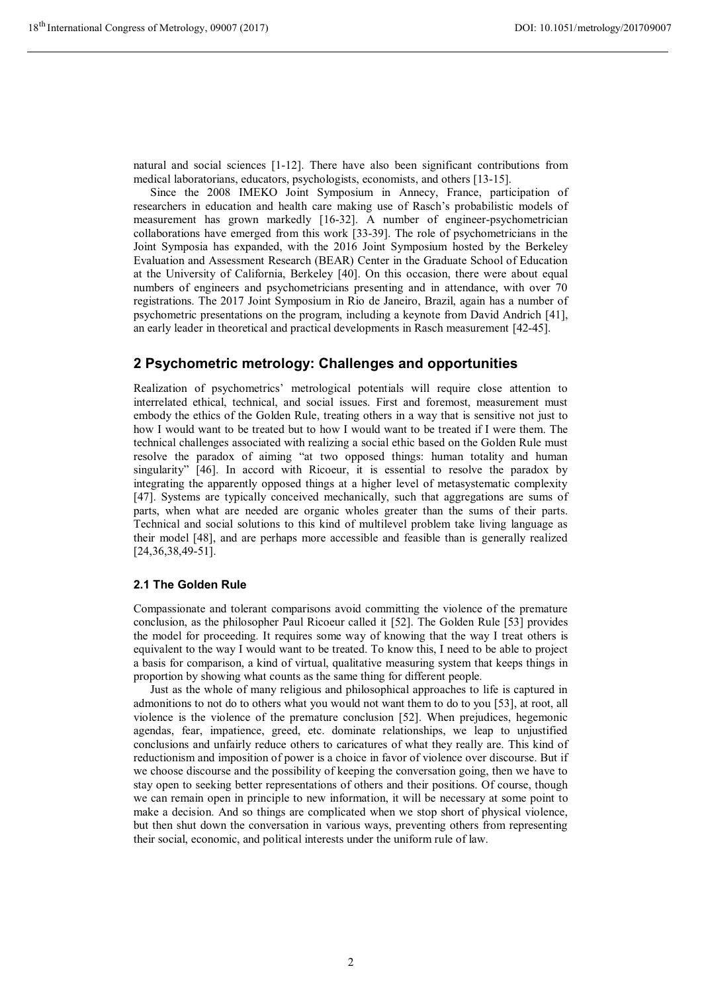natural and social sciences [1-12]. There have also been significant contributions from medical laboratorians, educators, psychologists, economists, and others [13-15].

Since the 2008 IMEKO Joint Symposium in Annecy, France, participation of researchers in education and health care making use of Rasch's probabilistic models of measurement has grown markedly [16-32]. A number of engineer-psychometrician collaborations have emerged from this work [33-39]. The role of psychometricians in the Joint Symposia has expanded, with the 2016 Joint Symposium hosted by the Berkeley Evaluation and Assessment Research (BEAR) Center in the Graduate School of Education at the University of California, Berkeley [40]. On this occasion, there were about equal numbers of engineers and psychometricians presenting and in attendance, with over 70 registrations. The 2017 Joint Symposium in Rio de Janeiro, Brazil, again has a number of psychometric presentations on the program, including a keynote from David Andrich [41], an early leader in theoretical and practical developments in Rasch measurement [42-45].

## **2 Psychometric metrology: Challenges and opportunities**

Realization of psychometrics' metrological potentials will require close attention to interrelated ethical, technical, and social issues. First and foremost, measurement must embody the ethics of the Golden Rule, treating others in a way that is sensitive not just to how I would want to be treated but to how I would want to be treated if I were them. The technical challenges associated with realizing a social ethic based on the Golden Rule must resolve the paradox of aiming "at two opposed things: human totality and human singularity" [46]. In accord with Ricoeur, it is essential to resolve the paradox by integrating the apparently opposed things at a higher level of metasystematic complexity [47]. Systems are typically conceived mechanically, such that aggregations are sums of parts, when what are needed are organic wholes greater than the sums of their parts. Technical and social solutions to this kind of multilevel problem take living language as their model [48], and are perhaps more accessible and feasible than is generally realized [24,36,38,49-51].

#### **2.1 The Golden Rule**

Compassionate and tolerant comparisons avoid committing the violence of the premature conclusion, as the philosopher Paul Ricoeur called it [52]. The Golden Rule [53] provides the model for proceeding. It requires some way of knowing that the way I treat others is equivalent to the way I would want to be treated. To know this, I need to be able to project a basis for comparison, a kind of virtual, qualitative measuring system that keeps things in proportion by showing what counts as the same thing for different people.

Just as the whole of many religious and philosophical approaches to life is captured in admonitions to not do to others what you would not want them to do to you [53], at root, all violence is the violence of the premature conclusion [52]. When prejudices, hegemonic agendas, fear, impatience, greed, etc. dominate relationships, we leap to unjustified conclusions and unfairly reduce others to caricatures of what they really are. This kind of reductionism and imposition of power is a choice in favor of violence over discourse. But if we choose discourse and the possibility of keeping the conversation going, then we have to stay open to seeking better representations of others and their positions. Of course, though we can remain open in principle to new information, it will be necessary at some point to make a decision. And so things are complicated when we stop short of physical violence, but then shut down the conversation in various ways, preventing others from representing their social, economic, and political interests under the uniform rule of law.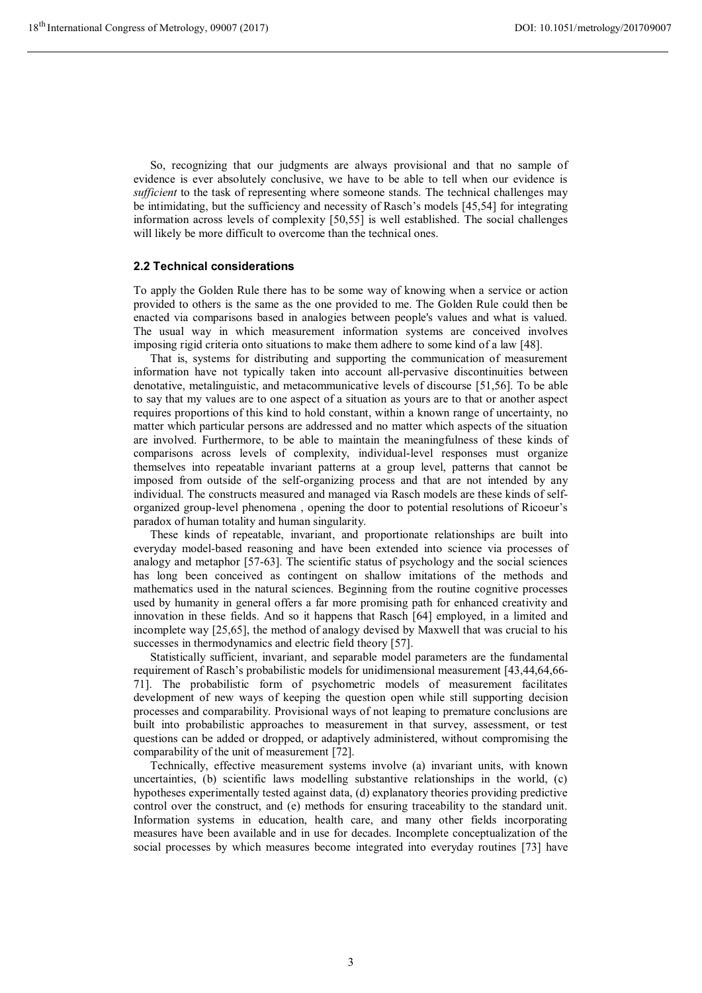So, recognizing that our judgments are always provisional and that no sample of evidence is ever absolutely conclusive, we have to be able to tell when our evidence is *sufficient* to the task of representing where someone stands. The technical challenges may be intimidating, but the sufficiency and necessity of Rasch's models [45,54] for integrating information across levels of complexity [50,55] is well established. The social challenges will likely be more difficult to overcome than the technical ones.

#### **2.2 Technical considerations**

To apply the Golden Rule there has to be some way of knowing when a service or action provided to others is the same as the one provided to me. The Golden Rule could then be enacted via comparisons based in analogies between people's values and what is valued. The usual way in which measurement information systems are conceived involves imposing rigid criteria onto situations to make them adhere to some kind of a law [48].

That is, systems for distributing and supporting the communication of measurement information have not typically taken into account all-pervasive discontinuities between denotative, metalinguistic, and metacommunicative levels of discourse [51,56]. To be able to say that my values are to one aspect of a situation as yours are to that or another aspect requires proportions of this kind to hold constant, within a known range of uncertainty, no matter which particular persons are addressed and no matter which aspects of the situation are involved. Furthermore, to be able to maintain the meaningfulness of these kinds of comparisons across levels of complexity, individual-level responses must organize themselves into repeatable invariant patterns at a group level, patterns that cannot be imposed from outside of the self-organizing process and that are not intended by any individual. The constructs measured and managed via Rasch models are these kinds of selforganized group-level phenomena , opening the door to potential resolutions of Ricoeur's paradox of human totality and human singularity.

These kinds of repeatable, invariant, and proportionate relationships are built into everyday model-based reasoning and have been extended into science via processes of analogy and metaphor [57-63]. The scientific status of psychology and the social sciences has long been conceived as contingent on shallow imitations of the methods and mathematics used in the natural sciences. Beginning from the routine cognitive processes used by humanity in general offers a far more promising path for enhanced creativity and innovation in these fields. And so it happens that Rasch [64] employed, in a limited and incomplete way [25,65], the method of analogy devised by Maxwell that was crucial to his successes in thermodynamics and electric field theory [57].

Statistically sufficient, invariant, and separable model parameters are the fundamental requirement of Rasch's probabilistic models for unidimensional measurement [43,44,64,66- 71]. The probabilistic form of psychometric models of measurement facilitates development of new ways of keeping the question open while still supporting decision processes and comparability. Provisional ways of not leaping to premature conclusions are built into probabilistic approaches to measurement in that survey, assessment, or test questions can be added or dropped, or adaptively administered, without compromising the comparability of the unit of measurement [72].

Technically, effective measurement systems involve (a) invariant units, with known uncertainties, (b) scientific laws modelling substantive relationships in the world, (c) hypotheses experimentally tested against data, (d) explanatory theories providing predictive control over the construct, and (e) methods for ensuring traceability to the standard unit. Information systems in education, health care, and many other fields incorporating measures have been available and in use for decades. Incomplete conceptualization of the social processes by which measures become integrated into everyday routines [73] have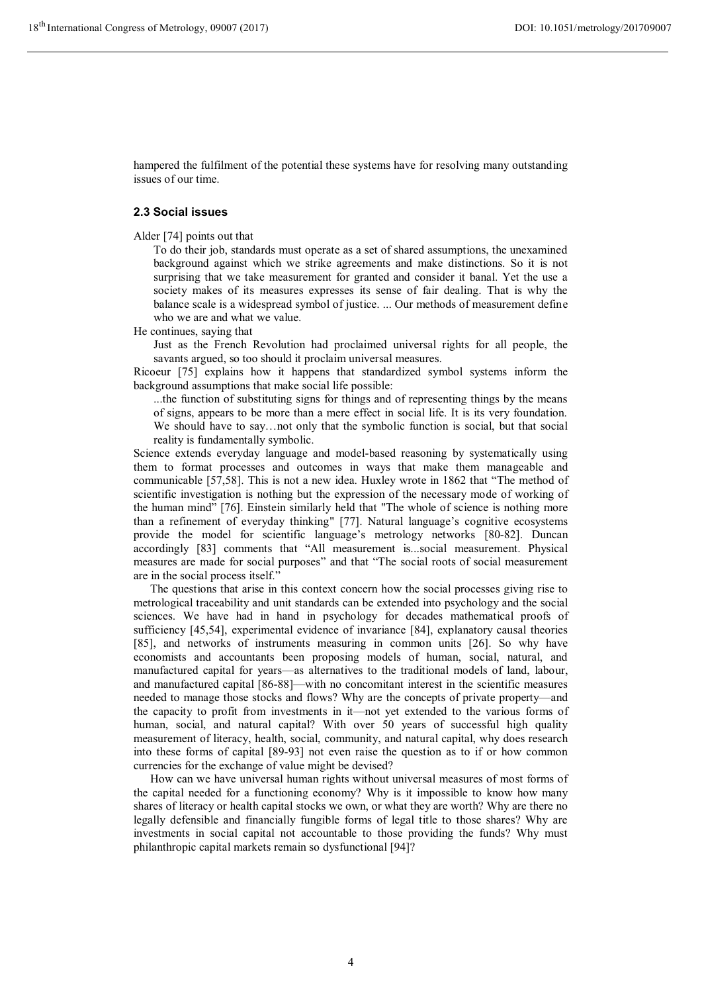hampered the fulfilment of the potential these systems have for resolving many outstanding issues of our time.

### **2.3 Social issues**

Alder [74] points out that

To do their job, standards must operate as a set of shared assumptions, the unexamined background against which we strike agreements and make distinctions. So it is not surprising that we take measurement for granted and consider it banal. Yet the use a society makes of its measures expresses its sense of fair dealing. That is why the balance scale is a widespread symbol of justice. ... Our methods of measurement define who we are and what we value.

He continues, saying that

Just as the French Revolution had proclaimed universal rights for all people, the savants argued, so too should it proclaim universal measures.

Ricoeur [75] explains how it happens that standardized symbol systems inform the background assumptions that make social life possible:

...the function of substituting signs for things and of representing things by the means of signs, appears to be more than a mere effect in social life. It is its very foundation. We should have to say…not only that the symbolic function is social, but that social reality is fundamentally symbolic.

Science extends everyday language and model-based reasoning by systematically using them to format processes and outcomes in ways that make them manageable and communicable [57,58]. This is not a new idea. Huxley wrote in 1862 that "The method of scientific investigation is nothing but the expression of the necessary mode of working of the human mind" [76]. Einstein similarly held that "The whole of science is nothing more than a refinement of everyday thinking" [77]. Natural language's cognitive ecosystems provide the model for scientific language's metrology networks [80-82]. Duncan accordingly [83] comments that "All measurement is...social measurement. Physical measures are made for social purposes" and that "The social roots of social measurement are in the social process itself."

The questions that arise in this context concern how the social processes giving rise to metrological traceability and unit standards can be extended into psychology and the social sciences. We have had in hand in psychology for decades mathematical proofs of sufficiency [45,54], experimental evidence of invariance [84], explanatory causal theories [85], and networks of instruments measuring in common units [26]. So why have economists and accountants been proposing models of human, social, natural, and manufactured capital for years—as alternatives to the traditional models of land, labour, and manufactured capital [86-88]—with no concomitant interest in the scientific measures needed to manage those stocks and flows? Why are the concepts of private property—and the capacity to profit from investments in it—not yet extended to the various forms of human, social, and natural capital? With over 50 years of successful high quality measurement of literacy, health, social, community, and natural capital, why does research into these forms of capital [89-93] not even raise the question as to if or how common currencies for the exchange of value might be devised?

How can we have universal human rights without universal measures of most forms of the capital needed for a functioning economy? Why is it impossible to know how many shares of literacy or health capital stocks we own, or what they are worth? Why are there no legally defensible and financially fungible forms of legal title to those shares? Why are investments in social capital not accountable to those providing the funds? Why must philanthropic capital markets remain so dysfunctional [94]?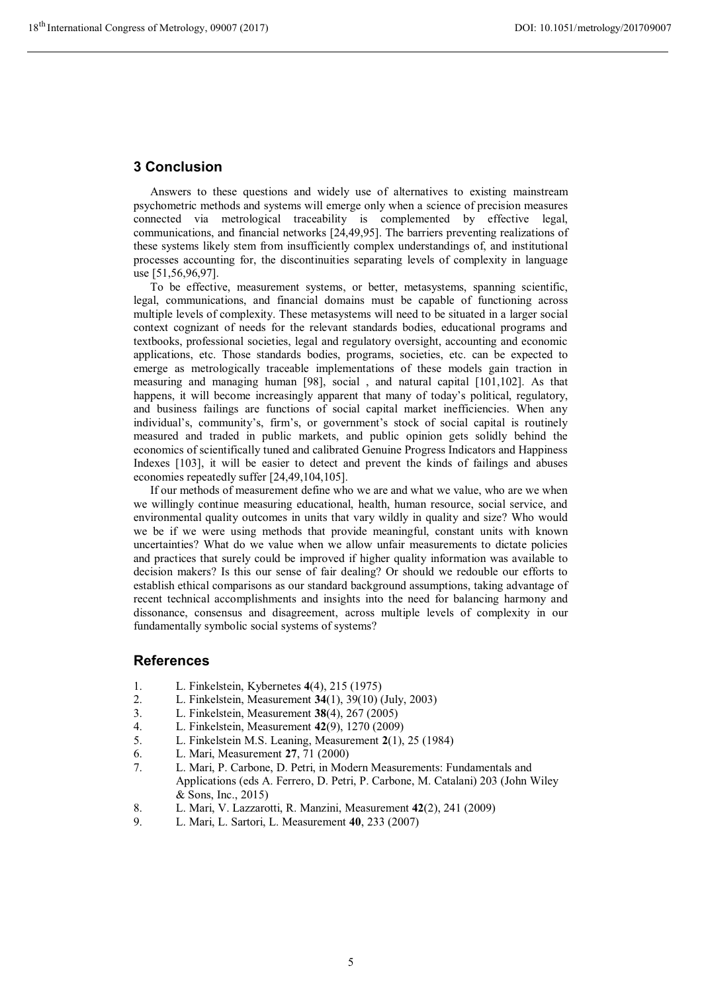# **3 Conclusion**

Answers to these questions and widely use of alternatives to existing mainstream psychometric methods and systems will emerge only when a science of precision measures connected via metrological traceability is complemented by effective legal, communications, and financial networks [24,49,95]. The barriers preventing realizations of these systems likely stem from insufficiently complex understandings of, and institutional processes accounting for, the discontinuities separating levels of complexity in language use [51,56,96,97].

To be effective, measurement systems, or better, metasystems, spanning scientific, legal, communications, and financial domains must be capable of functioning across multiple levels of complexity. These metasystems will need to be situated in a larger social context cognizant of needs for the relevant standards bodies, educational programs and textbooks, professional societies, legal and regulatory oversight, accounting and economic applications, etc. Those standards bodies, programs, societies, etc. can be expected to emerge as metrologically traceable implementations of these models gain traction in measuring and managing human [98], social , and natural capital [101,102]. As that happens, it will become increasingly apparent that many of today's political, regulatory, and business failings are functions of social capital market inefficiencies. When any individual's, community's, firm's, or government's stock of social capital is routinely measured and traded in public markets, and public opinion gets solidly behind the economics of scientifically tuned and calibrated Genuine Progress Indicators and Happiness Indexes [103], it will be easier to detect and prevent the kinds of failings and abuses economies repeatedly suffer [24,49,104,105].

If our methods of measurement define who we are and what we value, who are we when we willingly continue measuring educational, health, human resource, social service, and environmental quality outcomes in units that vary wildly in quality and size? Who would we be if we were using methods that provide meaningful, constant units with known uncertainties? What do we value when we allow unfair measurements to dictate policies and practices that surely could be improved if higher quality information was available to decision makers? Is this our sense of fair dealing? Or should we redouble our efforts to establish ethical comparisons as our standard background assumptions, taking advantage of recent technical accomplishments and insights into the need for balancing harmony and dissonance, consensus and disagreement, across multiple levels of complexity in our fundamentally symbolic social systems of systems?

### **References**

- 1. L. Finkelstein, Kybernetes **4**(4), 215 (1975)
- 2. L. Finkelstein, Measurement **34**(1), 39(10) (July, 2003)
- 3. L. Finkelstein, Measurement **38**(4), 267 (2005)
- 4. L. Finkelstein, Measurement **42**(9), 1270 (2009)
- 5. L. Finkelstein M.S. Leaning, Measurement **2**(1), 25 (1984)
- 6. L. Mari, Measurement **27**, 71 (2000)
- 7. L. Mari, P. Carbone, D. Petri, in Modern Measurements: Fundamentals and Applications (eds A. Ferrero, D. Petri, P. Carbone, M. Catalani) 203 (John Wiley & Sons, Inc., 2015)
- 8. L. Mari, V. Lazzarotti, R. Manzini, Measurement **42**(2), 241 (2009)
- 9. L. Mari, L. Sartori, L. Measurement **40**, 233 (2007)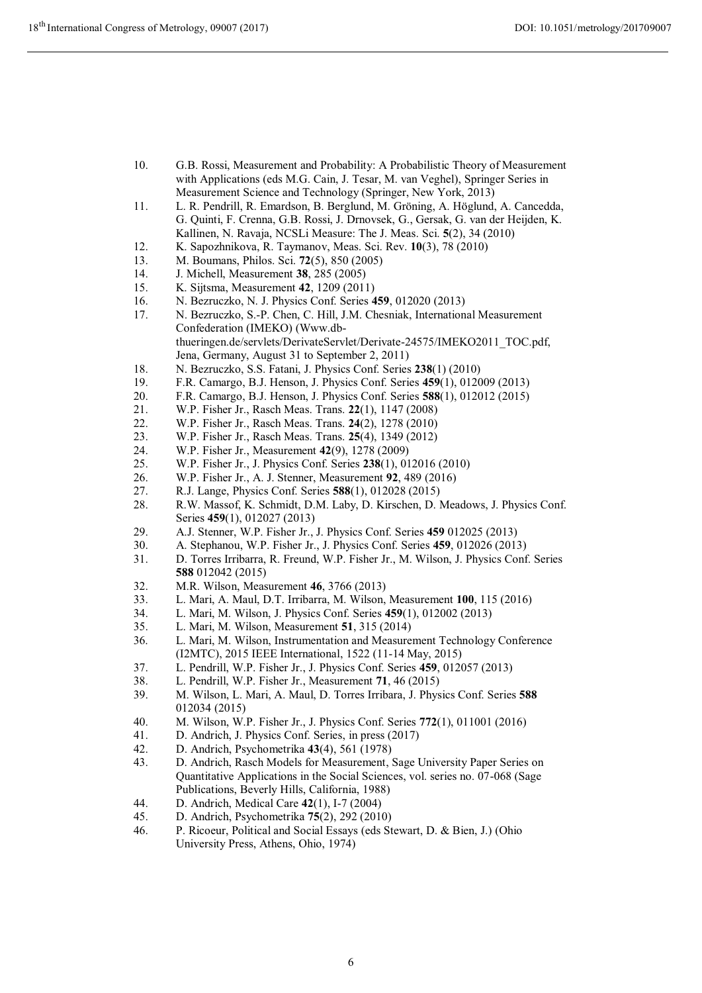- 10. G.B. Rossi, Measurement and Probability: A Probabilistic Theory of Measurement with Applications (eds M.G. Cain, J. Tesar, M. van Veghel), Springer Series in Measurement Science and Technology (Springer, New York, 2013)
- 11. L. R. Pendrill, R. Emardson, B. Berglund, M. Gröning, A. Höglund, A. Cancedda, G. Quinti, F. Crenna, G.B. Rossi, J. Drnovsek, G., Gersak, G. van der Heijden, K. Kallinen, N. Ravaja, NCSLi Measure: The J. Meas. Sci. **5**(2), 34 (2010)
- 12. K. Sapozhnikova, R. Taymanov, Meas. Sci. Rev. **10**(3), 78 (2010)
- 13. M. Boumans, Philos. Sci. **72**(5), 850 (2005)
- 14. J. Michell, Measurement **38**, 285 (2005)
- 15. K. Sijtsma, Measurement **42**, 1209 (2011)
- 16. N. Bezruczko, N. J. Physics Conf. Series **459**, 012020 (2013)
- 17. N. Bezruczko, S.-P. Chen, C. Hill, J.M. Chesniak, International Measurement Confederation (IMEKO) (Www.dbthueringen.de/servlets/DerivateServlet/Derivate-24575/IMEKO2011\_TOC.pdf, Jena, Germany, August 31 to September 2, 2011)
- 18. N. Bezruczko, S.S. Fatani, J. Physics Conf. Series **238**(1) (2010)
- 19. F.R. Camargo, B.J. Henson, J. Physics Conf. Series **459**(1), 012009 (2013)
- 20. F.R. Camargo, B.J. Henson, J. Physics Conf. Series **588**(1), 012012 (2015)
- 21. W.P. Fisher Jr., Rasch Meas. Trans. **22**(1), 1147 (2008)
- 22. W.P. Fisher Jr., Rasch Meas. Trans. **24**(2), 1278 (2010)
- 23. W.P. Fisher Jr., Rasch Meas. Trans. **25**(4), 1349 (2012)
- 24. W.P. Fisher Jr., Measurement **42**(9), 1278 (2009)
- 25. W.P. Fisher Jr., J. Physics Conf. Series **238**(1), 012016 (2010)
- 26. W.P. Fisher Jr., A. J. Stenner, Measurement **92**, 489 (2016)
- 27. R.J. Lange, Physics Conf. Series **588**(1), 012028 (2015)
- 28. R.W. Massof, K. Schmidt, D.M. Laby, D. Kirschen, D. Meadows, J. Physics Conf. Series **459**(1), 012027 (2013)
- 29. A.J. Stenner, W.P. Fisher Jr., J. Physics Conf. Series **459** 012025 (2013)
- 30. A. Stephanou, W.P. Fisher Jr., J. Physics Conf. Series **459**, 012026 (2013)
- 31. D. Torres Irribarra, R. Freund, W.P. Fisher Jr., M. Wilson, J. Physics Conf. Series **588** 012042 (2015)
- 32. M.R. Wilson, Measurement **46**, 3766 (2013)
- 33. L. Mari, A. Maul, D.T. Irribarra, M. Wilson, Measurement **100**, 115 (2016)
- 34. L. Mari, M. Wilson, J. Physics Conf. Series **459**(1), 012002 (2013)
- 35. L. Mari, M. Wilson, Measurement **51**, 315 (2014)
- 36. L. Mari, M. Wilson, Instrumentation and Measurement Technology Conference (I2MTC), 2015 IEEE International, 1522 (11-14 May, 2015)
- 37. L. Pendrill, W.P. Fisher Jr., J. Physics Conf. Series **459**, 012057 (2013)
- 38. L. Pendrill, W.P. Fisher Jr., Measurement **71**, 46 (2015)
- 39. M. Wilson, L. Mari, A. Maul, D. Torres Irribara, J. Physics Conf. Series **588** 012034 (2015)
- 40. M. Wilson, W.P. Fisher Jr., J. Physics Conf. Series **772**(1), 011001 (2016)
- 41. D. Andrich, J. Physics Conf. Series, in press (2017)
- 42. D. Andrich, Psychometrika **43**(4), 561 (1978)
- 43. D. Andrich, Rasch Models for Measurement, Sage University Paper Series on Quantitative Applications in the Social Sciences, vol. series no. 07-068 (Sage Publications, Beverly Hills, California, 1988)
- 44. D. Andrich, Medical Care **42**(1), I-7 (2004)
- 45. D. Andrich, Psychometrika **75**(2), 292 (2010)
- 46. P. Ricoeur, Political and Social Essays (eds Stewart, D. & Bien, J.) (Ohio University Press, Athens, Ohio, 1974)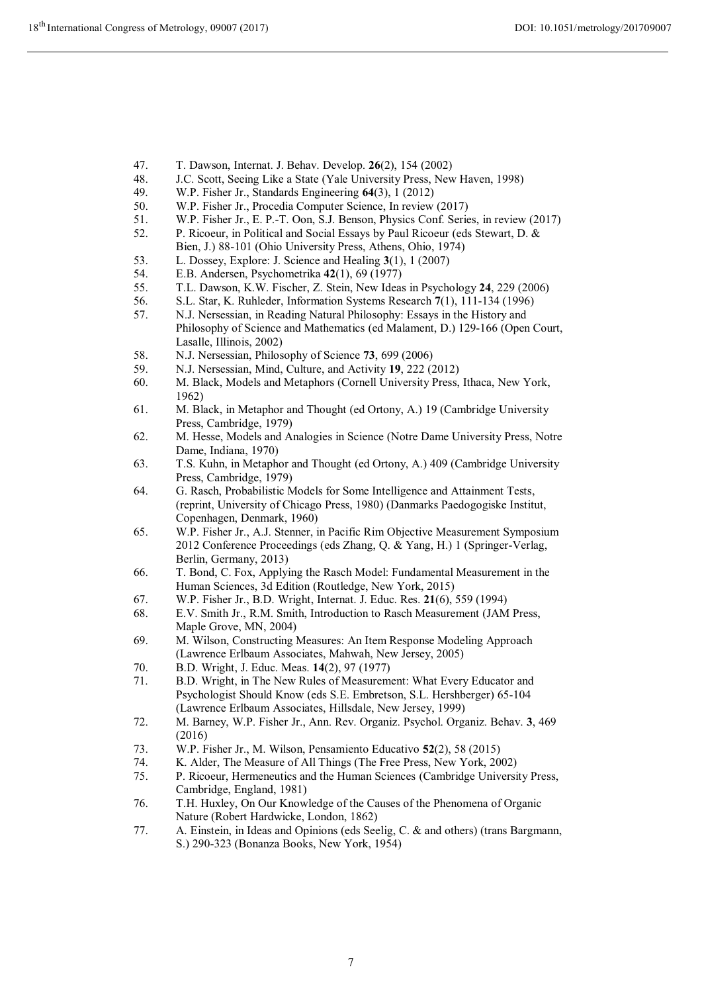- 47. T. Dawson, Internat. J. Behav. Develop. **26**(2), 154 (2002)
- 48. J.C. Scott, Seeing Like a State (Yale University Press, New Haven, 1998)<br>49. W.P. Fisher Jr., Standards Engineering 64(3), 1 (2012)
- 49. W.P. Fisher Jr., Standards Engineering **64**(3), 1 (2012)
- 50. W.P. Fisher Jr., Procedia Computer Science, In review (2017)
- 51. W.P. Fisher Jr., E. P.-T. Oon, S.J. Benson, Physics Conf. Series, in review (2017)
- 52. P. Ricoeur, in Political and Social Essays by Paul Ricoeur (eds Stewart, D. & Bien, J.) 88-101 (Ohio University Press, Athens, Ohio, 1974)
- 53. L. Dossey, Explore: J. Science and Healing **3**(1), 1 (2007)
- 54. E.B. Andersen, Psychometrika **42**(1), 69 (1977)
- 55. T.L. Dawson, K.W. Fischer, Z. Stein, New Ideas in Psychology **24**, 229 (2006)
- 56. S.L. Star, K. Ruhleder, Information Systems Research **7**(1), 111-134 (1996)
- 57. N.J. Nersessian, in Reading Natural Philosophy: Essays in the History and Philosophy of Science and Mathematics (ed Malament, D.) 129-166 (Open Court, Lasalle, Illinois, 2002)
- 58. N.J. Nersessian, Philosophy of Science **73**, 699 (2006)
- 59. N.J. Nersessian, Mind, Culture, and Activity **19**, 222 (2012)
- 60. M. Black, Models and Metaphors (Cornell University Press, Ithaca, New York, 1962)
- 61. M. Black, in Metaphor and Thought (ed Ortony, A.) 19 (Cambridge University Press, Cambridge, 1979)
- 62. M. Hesse, Models and Analogies in Science (Notre Dame University Press, Notre Dame, Indiana, 1970)
- 63. T.S. Kuhn, in Metaphor and Thought (ed Ortony, A.) 409 (Cambridge University Press, Cambridge, 1979)
- 64. G. Rasch, Probabilistic Models for Some Intelligence and Attainment Tests, (reprint, University of Chicago Press, 1980) (Danmarks Paedogogiske Institut, Copenhagen, Denmark, 1960)
- 65. W.P. Fisher Jr., A.J. Stenner, in Pacific Rim Objective Measurement Symposium 2012 Conference Proceedings (eds Zhang, Q. & Yang, H.) 1 (Springer-Verlag, Berlin, Germany, 2013)
- 66. T. Bond, C. Fox, Applying the Rasch Model: Fundamental Measurement in the Human Sciences, 3d Edition (Routledge, New York, 2015)
- 67. W.P. Fisher Jr., B.D. Wright, Internat. J. Educ. Res. **21**(6), 559 (1994)
- 68. E.V. Smith Jr., R.M. Smith, Introduction to Rasch Measurement (JAM Press, Maple Grove, MN, 2004)
- 69. M. Wilson, Constructing Measures: An Item Response Modeling Approach (Lawrence Erlbaum Associates, Mahwah, New Jersey, 2005)
- 70. B.D. Wright, J. Educ. Meas. **14**(2), 97 (1977)
- 71. B.D. Wright, in The New Rules of Measurement: What Every Educator and Psychologist Should Know (eds S.E. Embretson, S.L. Hershberger) 65-104 (Lawrence Erlbaum Associates, Hillsdale, New Jersey, 1999)
- 72. M. Barney, W.P. Fisher Jr., Ann. Rev. Organiz. Psychol. Organiz. Behav. **3**, 469 (2016)
- 73. W.P. Fisher Jr., M. Wilson, Pensamiento Educativo **52**(2), 58 (2015)
- 74. K. Alder, The Measure of All Things (The Free Press, New York, 2002)
- 75. P. Ricoeur, Hermeneutics and the Human Sciences (Cambridge University Press, Cambridge, England, 1981)
- 76. T.H. Huxley, On Our Knowledge of the Causes of the Phenomena of Organic Nature (Robert Hardwicke, London, 1862)
- 77. A. Einstein, in Ideas and Opinions (eds Seelig, C. & and others) (trans Bargmann, S.) 290-323 (Bonanza Books, New York, 1954)